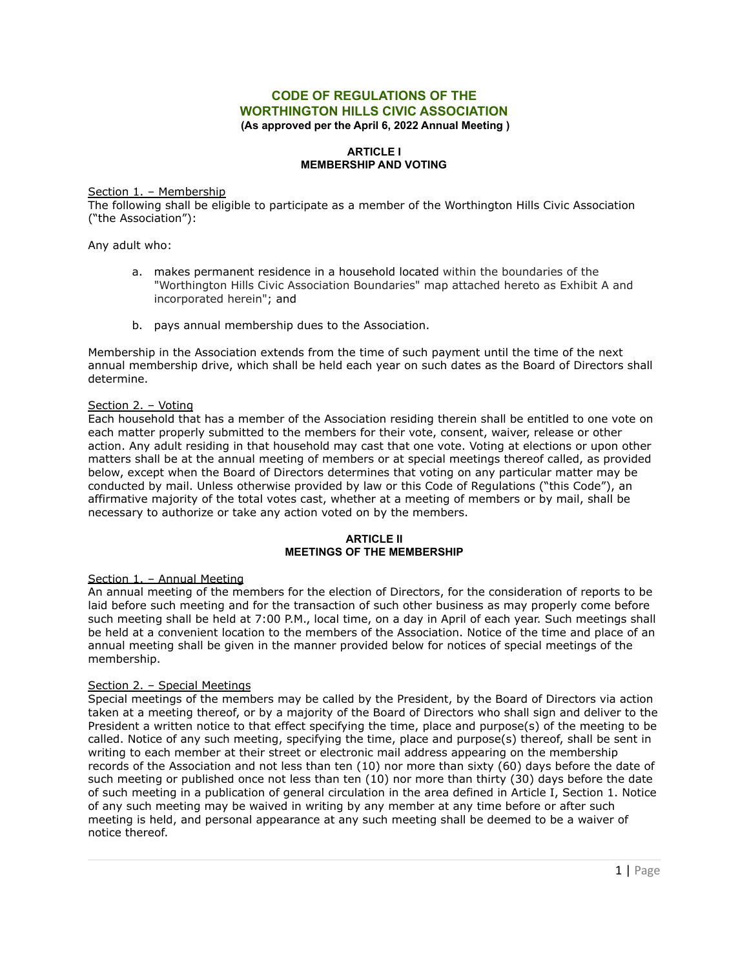# **CODE OF REGULATIONS OF THE WORTHINGTON HILLS CIVIC ASSOCIATION (As approved per the April 6, 2022 Annual Meeting )**

## **ARTICLE I MEMBERSHIP AND VOTING**

### Section 1. – Membership

The following shall be eligible to participate as a member of the Worthington Hills Civic Association ("the Association"):

Any adult who:

- a. makes permanent residence in a household located within the boundaries of the "Worthington Hills Civic Association Boundaries" map attached hereto as Exhibit A and incorporated herein"; and
- b. pays annual membership dues to the Association.

Membership in the Association extends from the time of such payment until the time of the next annual membership drive, which shall be held each year on such dates as the Board of Directors shall determine.

# Section 2. – Voting

Each household that has a member of the Association residing therein shall be entitled to one vote on each matter properly submitted to the members for their vote, consent, waiver, release or other action. Any adult residing in that household may cast that one vote. Voting at elections or upon other matters shall be at the annual meeting of members or at special meetings thereof called, as provided below, except when the Board of Directors determines that voting on any particular matter may be conducted by mail. Unless otherwise provided by law or this Code of Regulations ("this Code"), an affirmative majority of the total votes cast, whether at a meeting of members or by mail, shall be necessary to authorize or take any action voted on by the members.

#### **ARTICLE II MEETINGS OF THE MEMBERSHIP**

## Section 1. – Annual Meeting

An annual meeting of the members for the election of Directors, for the consideration of reports to be laid before such meeting and for the transaction of such other business as may properly come before such meeting shall be held at 7:00 P.M., local time, on a day in April of each year. Such meetings shall be held at a convenient location to the members of the Association. Notice of the time and place of an annual meeting shall be given in the manner provided below for notices of special meetings of the membership.

## Section 2. – Special Meetings

Special meetings of the members may be called by the President, by the Board of Directors via action taken at a meeting thereof, or by a majority of the Board of Directors who shall sign and deliver to the President a written notice to that effect specifying the time, place and purpose(s) of the meeting to be called. Notice of any such meeting, specifying the time, place and purpose(s) thereof, shall be sent in writing to each member at their street or electronic mail address appearing on the membership records of the Association and not less than ten (10) nor more than sixty (60) days before the date of such meeting or published once not less than ten (10) nor more than thirty (30) days before the date of such meeting in a publication of general circulation in the area defined in Article I, Section 1. Notice of any such meeting may be waived in writing by any member at any time before or after such meeting is held, and personal appearance at any such meeting shall be deemed to be a waiver of notice thereof.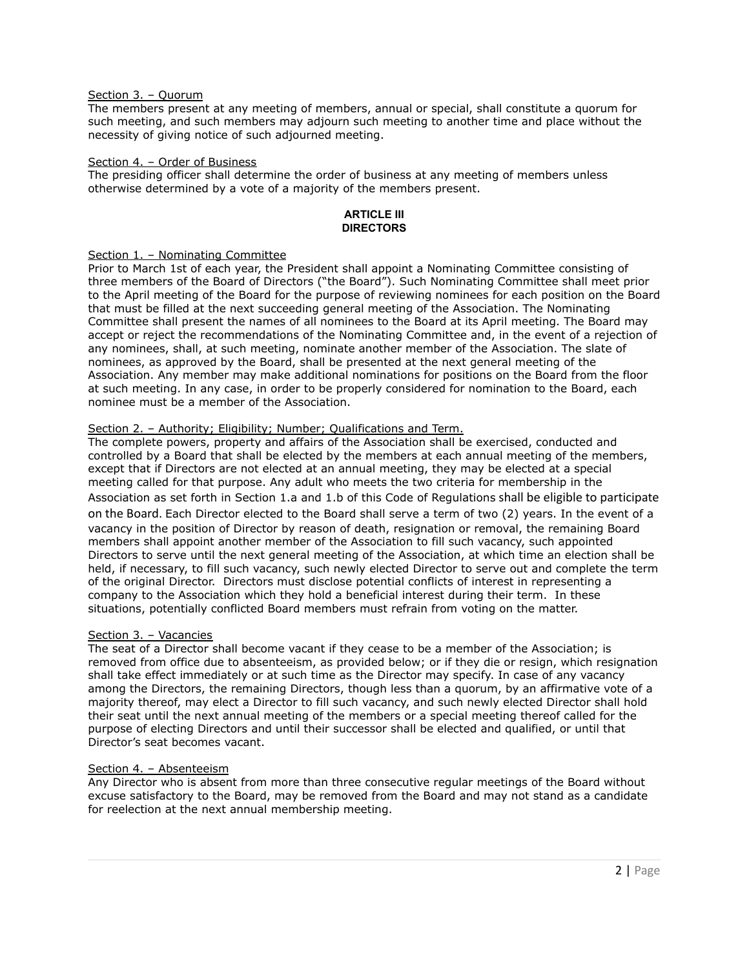### Section 3. – Quorum

The members present at any meeting of members, annual or special, shall constitute a quorum for such meeting, and such members may adjourn such meeting to another time and place without the necessity of giving notice of such adjourned meeting.

### Section 4. - Order of Business

The presiding officer shall determine the order of business at any meeting of members unless otherwise determined by a vote of a majority of the members present.

#### **ARTICLE III DIRECTORS**

### Section 1. – Nominating Committee

Prior to March 1st of each year, the President shall appoint a Nominating Committee consisting of three members of the Board of Directors ("the Board"). Such Nominating Committee shall meet prior to the April meeting of the Board for the purpose of reviewing nominees for each position on the Board that must be filled at the next succeeding general meeting of the Association. The Nominating Committee shall present the names of all nominees to the Board at its April meeting. The Board may accept or reject the recommendations of the Nominating Committee and, in the event of a rejection of any nominees, shall, at such meeting, nominate another member of the Association. The slate of nominees, as approved by the Board, shall be presented at the next general meeting of the Association. Any member may make additional nominations for positions on the Board from the floor at such meeting. In any case, in order to be properly considered for nomination to the Board, each nominee must be a member of the Association.

## Section 2. – Authority; Eligibility; Number; Qualifications and Term.

The complete powers, property and affairs of the Association shall be exercised, conducted and controlled by a Board that shall be elected by the members at each annual meeting of the members, except that if Directors are not elected at an annual meeting, they may be elected at a special meeting called for that purpose. Any adult who meets the two criteria for membership in the Association as set forth in Section 1.a and 1.b of this Code of Regulations shall be eligible to participate on the Board. Each Director elected to the Board shall serve a term of two (2) years. In the event of a vacancy in the position of Director by reason of death, resignation or removal, the remaining Board members shall appoint another member of the Association to fill such vacancy, such appointed Directors to serve until the next general meeting of the Association, at which time an election shall be held, if necessary, to fill such vacancy, such newly elected Director to serve out and complete the term of the original Director. Directors must disclose potential conflicts of interest in representing a company to the Association which they hold a beneficial interest during their term. In these situations, potentially conflicted Board members must refrain from voting on the matter.

## Section 3. – Vacancies

The seat of a Director shall become vacant if they cease to be a member of the Association; is removed from office due to absenteeism, as provided below; or if they die or resign, which resignation shall take effect immediately or at such time as the Director may specify. In case of any vacancy among the Directors, the remaining Directors, though less than a quorum, by an affirmative vote of a majority thereof, may elect a Director to fill such vacancy, and such newly elected Director shall hold their seat until the next annual meeting of the members or a special meeting thereof called for the purpose of electing Directors and until their successor shall be elected and qualified, or until that Director's seat becomes vacant.

## Section 4. – Absenteeism

Any Director who is absent from more than three consecutive regular meetings of the Board without excuse satisfactory to the Board, may be removed from the Board and may not stand as a candidate for reelection at the next annual membership meeting.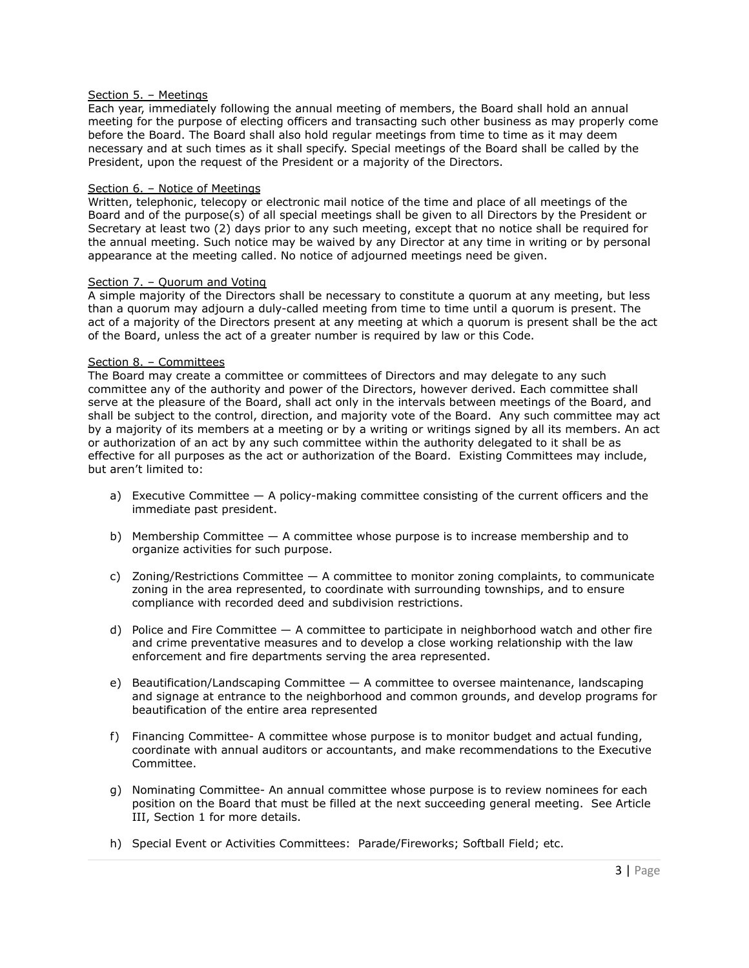### Section 5. – Meetings

Each year, immediately following the annual meeting of members, the Board shall hold an annual meeting for the purpose of electing officers and transacting such other business as may properly come before the Board. The Board shall also hold regular meetings from time to time as it may deem necessary and at such times as it shall specify. Special meetings of the Board shall be called by the President, upon the request of the President or a majority of the Directors.

### Section 6. - Notice of Meetings

Written, telephonic, telecopy or electronic mail notice of the time and place of all meetings of the Board and of the purpose(s) of all special meetings shall be given to all Directors by the President or Secretary at least two (2) days prior to any such meeting, except that no notice shall be required for the annual meeting. Such notice may be waived by any Director at any time in writing or by personal appearance at the meeting called. No notice of adjourned meetings need be given.

### Section 7. - Quorum and Voting

A simple majority of the Directors shall be necessary to constitute a quorum at any meeting, but less than a quorum may adjourn a duly-called meeting from time to time until a quorum is present. The act of a majority of the Directors present at any meeting at which a quorum is present shall be the act of the Board, unless the act of a greater number is required by law or this Code.

### Section 8. – Committees

The Board may create a committee or committees of Directors and may delegate to any such committee any of the authority and power of the Directors, however derived. Each committee shall serve at the pleasure of the Board, shall act only in the intervals between meetings of the Board, and shall be subject to the control, direction, and majority vote of the Board. Any such committee may act by a majority of its members at a meeting or by a writing or writings signed by all its members. An act or authorization of an act by any such committee within the authority delegated to it shall be as effective for all purposes as the act or authorization of the Board. Existing Committees may include, but aren't limited to:

- a) Executive Committee  $-$  A policy-making committee consisting of the current officers and the immediate past president.
- b) Membership Committee A committee whose purpose is to increase membership and to organize activities for such purpose.
- c) Zoning/Restrictions Committee A committee to monitor zoning complaints, to communicate zoning in the area represented, to coordinate with surrounding townships, and to ensure compliance with recorded deed and subdivision restrictions.
- d) Police and Fire Committee  $-$  A committee to participate in neighborhood watch and other fire and crime preventative measures and to develop a close working relationship with the law enforcement and fire departments serving the area represented.
- e) Beautification/Landscaping Committee A committee to oversee maintenance, landscaping and signage at entrance to the neighborhood and common grounds, and develop programs for beautification of the entire area represented
- f) Financing Committee- A committee whose purpose is to monitor budget and actual funding, coordinate with annual auditors or accountants, and make recommendations to the Executive Committee.
- g) Nominating Committee- An annual committee whose purpose is to review nominees for each position on the Board that must be filled at the next succeeding general meeting. See Article III, Section 1 for more details.
- h) Special Event or Activities Committees: Parade/Fireworks; Softball Field; etc.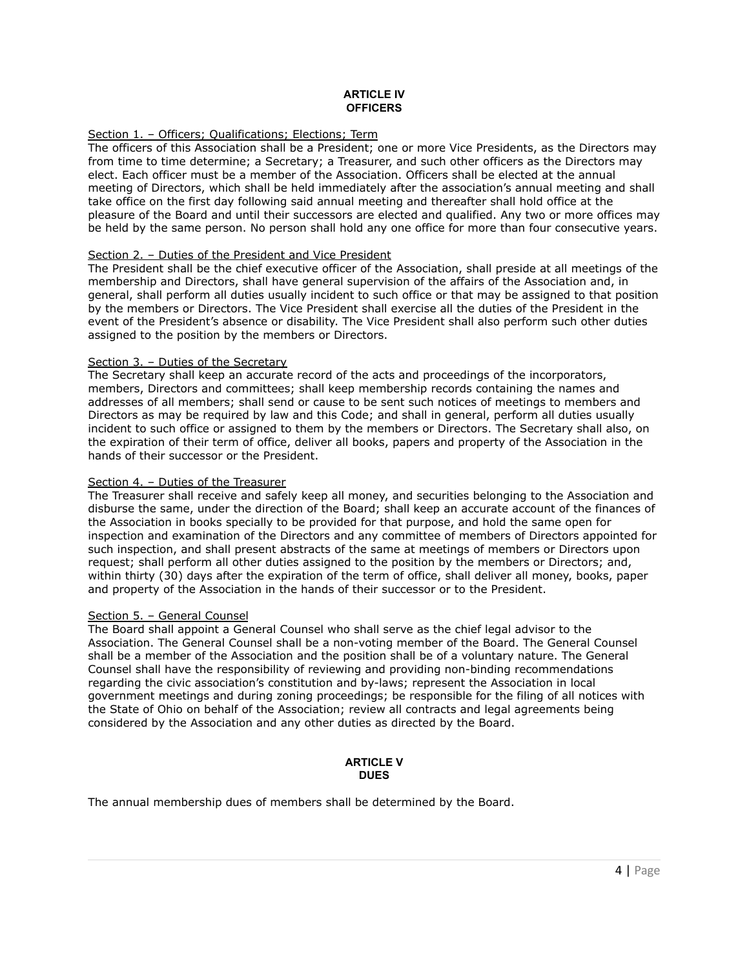### **ARTICLE IV OFFICERS**

# Section 1. - Officers; Qualifications; Elections; Term

The officers of this Association shall be a President; one or more Vice Presidents, as the Directors may from time to time determine; a Secretary; a Treasurer, and such other officers as the Directors may elect. Each officer must be a member of the Association. Officers shall be elected at the annual meeting of Directors, which shall be held immediately after the association's annual meeting and shall take office on the first day following said annual meeting and thereafter shall hold office at the pleasure of the Board and until their successors are elected and qualified. Any two or more offices may be held by the same person. No person shall hold any one office for more than four consecutive years.

## Section 2. – Duties of the President and Vice President

The President shall be the chief executive officer of the Association, shall preside at all meetings of the membership and Directors, shall have general supervision of the affairs of the Association and, in general, shall perform all duties usually incident to such office or that may be assigned to that position by the members or Directors. The Vice President shall exercise all the duties of the President in the event of the President's absence or disability. The Vice President shall also perform such other duties assigned to the position by the members or Directors.

### Section 3. - Duties of the Secretary

The Secretary shall keep an accurate record of the acts and proceedings of the incorporators, members, Directors and committees; shall keep membership records containing the names and addresses of all members; shall send or cause to be sent such notices of meetings to members and Directors as may be required by law and this Code; and shall in general, perform all duties usually incident to such office or assigned to them by the members or Directors. The Secretary shall also, on the expiration of their term of office, deliver all books, papers and property of the Association in the hands of their successor or the President.

### Section 4. – Duties of the Treasurer

The Treasurer shall receive and safely keep all money, and securities belonging to the Association and disburse the same, under the direction of the Board; shall keep an accurate account of the finances of the Association in books specially to be provided for that purpose, and hold the same open for inspection and examination of the Directors and any committee of members of Directors appointed for such inspection, and shall present abstracts of the same at meetings of members or Directors upon request; shall perform all other duties assigned to the position by the members or Directors; and, within thirty (30) days after the expiration of the term of office, shall deliver all money, books, paper and property of the Association in the hands of their successor or to the President.

## Section 5. – General Counsel

The Board shall appoint a General Counsel who shall serve as the chief legal advisor to the Association. The General Counsel shall be a non-voting member of the Board. The General Counsel shall be a member of the Association and the position shall be of a voluntary nature. The General Counsel shall have the responsibility of reviewing and providing non-binding recommendations regarding the civic association's constitution and by-laws; represent the Association in local government meetings and during zoning proceedings; be responsible for the filing of all notices with the State of Ohio on behalf of the Association; review all contracts and legal agreements being considered by the Association and any other duties as directed by the Board.

#### **ARTICLE V DUES**

The annual membership dues of members shall be determined by the Board.